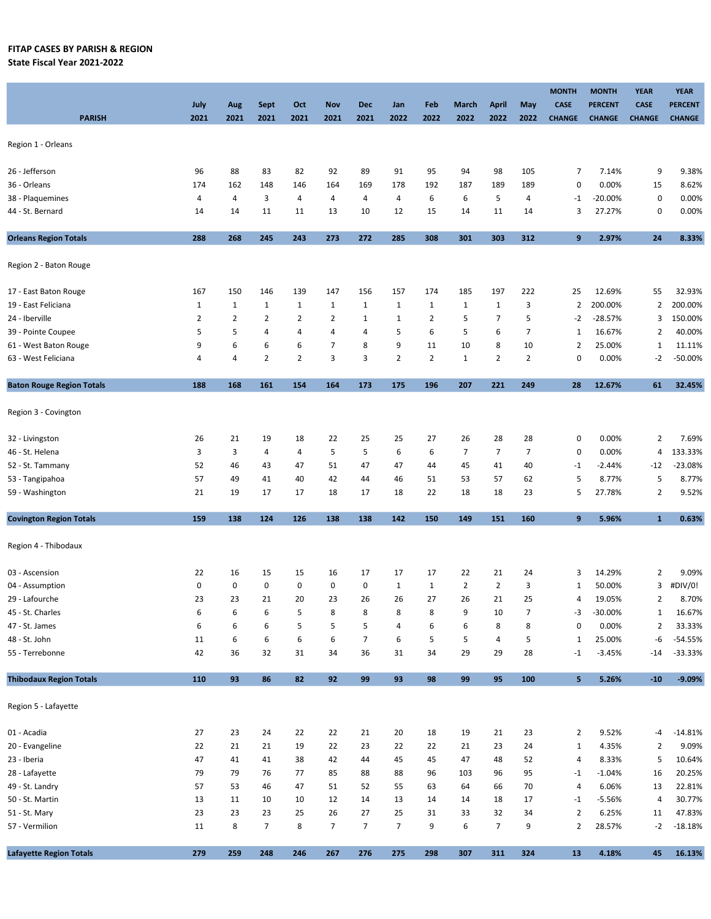## FITAP CASES BY PARISH & REGION State Fiscal Year 2021-2022

| <b>PARISH</b>                    | July<br>2021   | Aug<br>2021             | Sept<br>2021   | Oct<br>2021    | <b>Nov</b><br>2021 | <b>Dec</b><br>2021 | Jan<br>2022    | Feb<br>2022    | <b>March</b><br>2022 | <b>April</b><br>2022 | May<br>2022    | <b>MONTH</b><br><b>CASE</b><br><b>CHANGE</b> | <b>MONTH</b><br><b>PERCENT</b><br><b>CHANGE</b> | <b>YEAR</b><br><b>CASE</b><br><b>CHANGE</b> | <b>YEAR</b><br><b>PERCENT</b><br><b>CHANGE</b> |
|----------------------------------|----------------|-------------------------|----------------|----------------|--------------------|--------------------|----------------|----------------|----------------------|----------------------|----------------|----------------------------------------------|-------------------------------------------------|---------------------------------------------|------------------------------------------------|
|                                  |                |                         |                |                |                    |                    |                |                |                      |                      |                |                                              |                                                 |                                             |                                                |
| Region 1 - Orleans               |                |                         |                |                |                    |                    |                |                |                      |                      |                |                                              |                                                 |                                             |                                                |
| 26 - Jefferson                   | 96             | 88                      | 83             | 82             | 92                 | 89                 | 91             | 95             | 94                   | 98                   | 105            | $\overline{7}$                               | 7.14%                                           | 9                                           | 9.38%                                          |
| 36 - Orleans                     | 174            | 162                     | 148            | 146            | 164                | 169                | 178            | 192            | 187                  | 189                  | 189            | 0                                            | 0.00%                                           | 15                                          | 8.62%                                          |
| 38 - Plaquemines                 | 4              | 4                       | 3              | 4              | 4                  | 4                  | 4              | 6              | 6                    | 5                    | 4              | $-1$                                         | $-20.00%$                                       | $\pmb{0}$                                   | 0.00%                                          |
| 44 - St. Bernard                 | 14             | 14                      | 11             | 11             | 13                 | 10                 | 12             | 15             | 14                   | 11                   | 14             | 3                                            | 27.27%                                          | 0                                           | 0.00%                                          |
| <b>Orleans Region Totals</b>     | 288            | 268                     | 245            | 243            | 273                | 272                | 285            | 308            | 301                  | 303                  | 312            | 9                                            | 2.97%                                           | 24                                          | 8.33%                                          |
| Region 2 - Baton Rouge           |                |                         |                |                |                    |                    |                |                |                      |                      |                |                                              |                                                 |                                             |                                                |
| 17 - East Baton Rouge            | 167            | 150                     | 146            | 139            | 147                | 156                | 157            | 174            | 185                  | 197                  | 222            | 25                                           | 12.69%                                          | 55                                          | 32.93%                                         |
| 19 - East Feliciana              | $\mathbf{1}$   | $\mathbf{1}$            | $\mathbf{1}$   | $\mathbf{1}$   | $\mathbf{1}$       | $\mathbf{1}$       | $\mathbf{1}$   | $\mathbf{1}$   | $\mathbf{1}$         | $\mathbf{1}$         | 3              | 2                                            | 200.00%                                         | $\overline{2}$                              | 200.00%                                        |
| 24 - Iberville                   | $\overline{2}$ | $\overline{2}$          | 2              | 2              | $\overline{2}$     | $\mathbf{1}$       | $\mathbf{1}$   | 2              | 5                    | $\overline{7}$       | 5              | $-2$                                         | $-28.57%$                                       | 3                                           | 150.00%                                        |
| 39 - Pointe Coupee               | 5              | 5                       | 4              | 4              | $\overline{4}$     | $\overline{a}$     | 5              | 6              | 5                    | 6                    | $\overline{7}$ | $1\,$                                        | 16.67%                                          | 2                                           | 40.00%                                         |
| 61 - West Baton Rouge            | 9              | 6                       | 6              | 6              | $\overline{7}$     | 8                  | 9              | 11             | 10                   | 8                    | 10             | 2                                            | 25.00%                                          | 1                                           | 11.11%                                         |
| 63 - West Feliciana              | 4              | 4                       | $\overline{2}$ | $\overline{2}$ | 3                  | 3                  | $\overline{2}$ | $\overline{2}$ | $\mathbf{1}$         | $\overline{2}$       | $\overline{2}$ | 0                                            | 0.00%                                           | $-2$                                        | $-50.00%$                                      |
| <b>Baton Rouge Region Totals</b> | 188            | 168                     | 161            | 154            | 164                | 173                | 175            | 196            | 207                  | 221                  | 249            | 28                                           | 12.67%                                          | 61                                          | 32.45%                                         |
| Region 3 - Covington             |                |                         |                |                |                    |                    |                |                |                      |                      |                |                                              |                                                 |                                             |                                                |
| 32 - Livingston                  | 26             | 21                      | 19             | 18             | 22                 | 25                 | 25             | 27             | 26                   | 28                   | 28             | 0                                            | 0.00%                                           | $\overline{2}$                              | 7.69%                                          |
| 46 - St. Helena                  | 3              | $\overline{\mathbf{3}}$ | 4              | 4              | 5                  | 5                  | 6              | 6              | $\overline{7}$       | $\overline{7}$       | $\overline{7}$ | 0                                            | 0.00%                                           | 4                                           | 133.33%                                        |
| 52 - St. Tammany                 | 52             | 46                      | 43             | 47             | 51                 | 47                 | 47             | 44             | 45                   | 41                   | 40             | $-1$                                         | $-2.44%$                                        | $-12$                                       | $-23.08%$                                      |
| 53 - Tangipahoa                  | 57             | 49                      | 41             | 40             | 42                 | 44                 | 46             | 51             | 53                   | 57                   | 62             | 5                                            | 8.77%                                           | 5                                           | 8.77%                                          |
| 59 - Washington                  | 21             | 19                      | 17             | 17             | 18                 | 17                 | 18             | 22             | 18                   | 18                   | 23             | 5                                            | 27.78%                                          | 2                                           | 9.52%                                          |
| <b>Covington Region Totals</b>   | 159            | 138                     | 124            | 126            | 138                | 138                | 142            | 150            | 149                  | 151                  | 160            | 9                                            | 5.96%                                           | $\mathbf{1}$                                | 0.63%                                          |
| Region 4 - Thibodaux             |                |                         |                |                |                    |                    |                |                |                      |                      |                |                                              |                                                 |                                             |                                                |
| 03 - Ascension                   | 22             | 16                      | 15             | 15             | 16                 | 17                 | 17             | 17             | 22                   | 21                   | 24             | 3                                            | 14.29%                                          | 2                                           | 9.09%                                          |
| 04 - Assumption                  | $\mathbf 0$    | 0                       | 0              | $\mathbf 0$    | 0                  | 0                  | $\mathbf 1$    | $\mathbf{1}$   | $\overline{2}$       | $\overline{2}$       | 3              | $\mathbf{1}$                                 | 50.00%                                          | 3                                           | #DIV/0!                                        |
| 29 - Lafourche                   | 23             | 23                      | 21             | 20             | 23                 | 26                 | 26             | 27             | 26                   | 21                   | 25             | 4                                            | 19.05%                                          | $\overline{2}$                              | 8.70%                                          |
| 45 - St. Charles                 | 6              | 6                       | 6              | 5              | 8                  | 8                  | 8              | 8              | 9                    | 10                   | 7              | -3                                           | $-30.00%$                                       | 1                                           | 16.67%                                         |
| 47 - St. James                   | 6              | 6                       | 6              | 5              | 5                  | 5                  | 4              | 6              | 6                    | 8                    | 8              | 0                                            | 0.00%                                           | 2                                           | 33.33%                                         |
| 48 - St. John                    | 11             | 6                       | 6              | 6              | 6                  | $\overline{7}$     | 6              | 5              | 5                    | 4                    | 5              | $\mathbf{1}$                                 | 25.00%                                          | -6                                          | $-54.55%$                                      |
| 55 - Terrebonne                  | 42             | 36                      | 32             | 31             | 34                 | 36                 | 31             | 34             | 29                   | 29                   | 28             | -1                                           | $-3.45%$                                        | -14                                         | $-33.33%$                                      |
| <b>Thibodaux Region Totals</b>   | 110            | 93                      | 86             | 82             | 92                 | 99                 | 93             | 98             | 99                   | 95                   | 100            | 5                                            | 5.26%                                           | $-10$                                       | $-9.09%$                                       |
| Region 5 - Lafayette             |                |                         |                |                |                    |                    |                |                |                      |                      |                |                                              |                                                 |                                             |                                                |
| 01 - Acadia                      | 27             | 23                      | 24             | 22             | 22                 | 21                 | 20             | 18             | 19                   | 21                   | 23             | $\overline{2}$                               | 9.52%                                           | -4                                          | $-14.81%$                                      |
| 20 - Evangeline                  | 22             | 21                      | 21             | 19             | 22                 | 23                 | 22             | 22             | 21                   | 23                   | 24             | $\mathbf{1}$                                 | 4.35%                                           | $\overline{2}$                              | 9.09%                                          |
| 23 - Iberia                      | 47             | 41                      | 41             | 38             | 42                 | 44                 | 45             | 45             | 47                   | 48                   | 52             | 4                                            | 8.33%                                           | 5                                           | 10.64%                                         |
| 28 - Lafayette                   | 79             | 79                      | 76             | 77             | 85                 | 88                 | 88             | 96             | 103                  | 96                   | 95             | $-1$                                         | $-1.04%$                                        | 16                                          | 20.25%                                         |
| 49 - St. Landry                  | 57             | 53                      | 46             | 47             | 51                 | 52                 | 55             | 63             | 64                   | 66                   | 70             | 4                                            | 6.06%                                           | 13                                          | 22.81%                                         |
| 50 - St. Martin                  | 13             | 11                      | 10             | 10             | 12                 | 14                 | 13             | 14             | 14                   | 18                   | 17             | $-1$                                         | $-5.56%$                                        | 4                                           | 30.77%                                         |
| 51 - St. Mary                    | 23             | 23                      | 23             | 25             | 26                 | 27                 | 25             | 31             | 33                   | 32                   | 34             | 2                                            | 6.25%                                           | 11                                          | 47.83%                                         |
| 57 - Vermilion                   | 11             | 8                       | $\overline{7}$ | 8              | $\overline{7}$     | $\overline{7}$     | $\overline{7}$ | 9              | 6                    | $\overline{7}$       | 9              | 2                                            | 28.57%                                          | $-2$                                        | $-18.18%$                                      |
| <b>Lafayette Region Totals</b>   | 279            | 259                     | 248            | 246            | 267                | 276                | 275            | 298            | 307                  | 311                  | 324            | 13                                           | 4.18%                                           | 45                                          | 16.13%                                         |